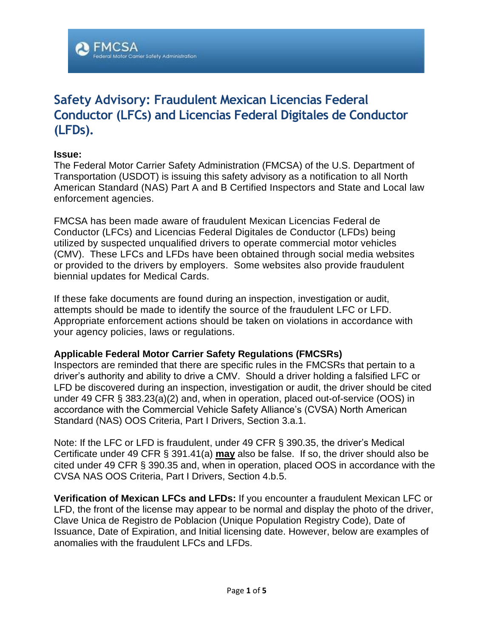# **Safety Advisory: Fraudulent Mexican Licencias Federal Conductor (LFCs) and Licencias Federal Digitales de Conductor (LFDs).**

### **Issue:**

The Federal Motor Carrier Safety Administration (FMCSA) of the U.S. Department of Transportation (USDOT) is issuing this safety advisory as a notification to all North American Standard (NAS) Part A and B Certified Inspectors and State and Local law enforcement agencies.

FMCSA has been made aware of fraudulent Mexican Licencias Federal de Conductor (LFCs) and Licencias Federal Digitales de Conductor (LFDs) being utilized by suspected unqualified drivers to operate commercial motor vehicles (CMV). These LFCs and LFDs have been obtained through social media websites or provided to the drivers by employers. Some websites also provide fraudulent biennial updates for Medical Cards.

If these fake documents are found during an inspection, investigation or audit, attempts should be made to identify the source of the fraudulent LFC or LFD. Appropriate enforcement actions should be taken on violations in accordance with your agency policies, laws or regulations.

### **Applicable Federal Motor Carrier Safety Regulations (FMCSRs)**

Inspectors are reminded that there are specific rules in the FMCSRs that pertain to a driver's authority and ability to drive a CMV. Should a driver holding a falsified LFC or LFD be discovered during an inspection, investigation or audit, the driver should be cited under 49 CFR § 383.23(a)(2) and, when in operation, placed out-of-service (OOS) in accordance with the Commercial Vehicle Safety Alliance's (CVSA) North American Standard (NAS) OOS Criteria, Part I Drivers, Section 3.a.1.

Note: If the LFC or LFD is fraudulent, under 49 CFR § 390.35, the driver's Medical Certificate under 49 CFR § 391.41(a) **may** also be false. If so, the driver should also be cited under 49 CFR § 390.35 and, when in operation, placed OOS in accordance with the CVSA NAS OOS Criteria, Part I Drivers, Section 4.b.5.

**Verification of Mexican LFCs and LFDs:** If you encounter a fraudulent Mexican LFC or LFD, the front of the license may appear to be normal and display the photo of the driver, Clave Unica de Registro de Poblacion (Unique Population Registry Code), Date of Issuance, Date of Expiration, and Initial licensing date. However, below are examples of anomalies with the fraudulent LFCs and LFDs.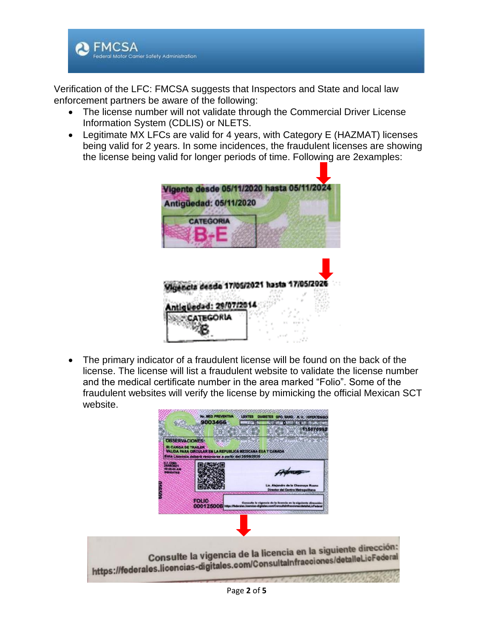

Verification of the LFC: FMCSA suggests that Inspectors and State and local law enforcement partners be aware of the following:

- The license number will not validate through the Commercial Driver License Information System (CDLIS) or NLETS.
- Legitimate MX LFCs are valid for 4 years, with Category E (HAZMAT) licenses being valid for 2 years. In some incidences, the fraudulent licenses are showing the license being valid for longer periods of time. Following are 2examples:



• The primary indicator of a fraudulent license will be found on the back of the license. The license will list a fraudulent website to validate the license number and the medical certificate number in the area marked "Folio". Some of the fraudulent websites will verify the license by mimicking the official Mexican SCT website.

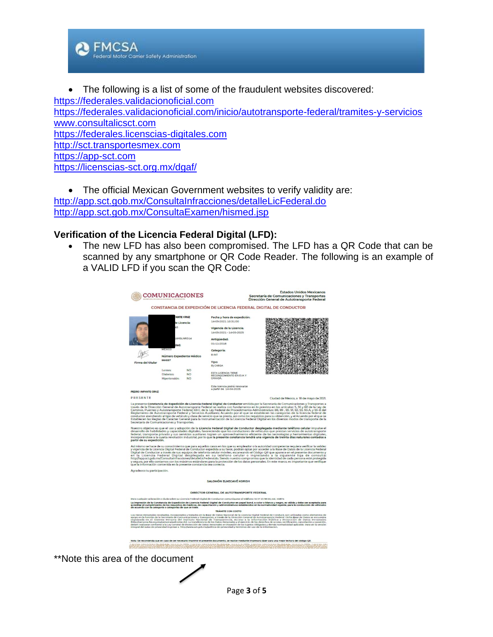

• The following is a list of some of the fraudulent websites discovered: [https://federales.validacionoficial.com](https://federales.validacionoficial.com/) <https://federales.validacionoficial.com/inicio/autotransporte-federal/tramites-y-servicios> [www.consultalicsct.com](http://www.consultalicsct.com/) [https://federales.licenscias-digitales.com](https://federales.licenscias-digitales.com/) [http://sct.transportesmex.com](http://sct.transportesmex.com/) [https://app-sct.com](https://app-sct.com/) <https://licenscias-sct.org.mx/dgaf/>

• The official Mexican Government websites to verify validity are: <http://app.sct.gob.mx/ConsultaInfracciones/detalleLicFederal.do> <http://app.sct.gob.mx/ConsultaExamen/hismed.jsp>

## **Verification of the Licencia Federal Digital (LFD):**

• The new LFD has also been compromised. The LFD has a QR Code that can be scanned by any smartphone or QR Code Reader. The following is an example of a VALID LFD if you scan the QR Code:



Page **3** of **5**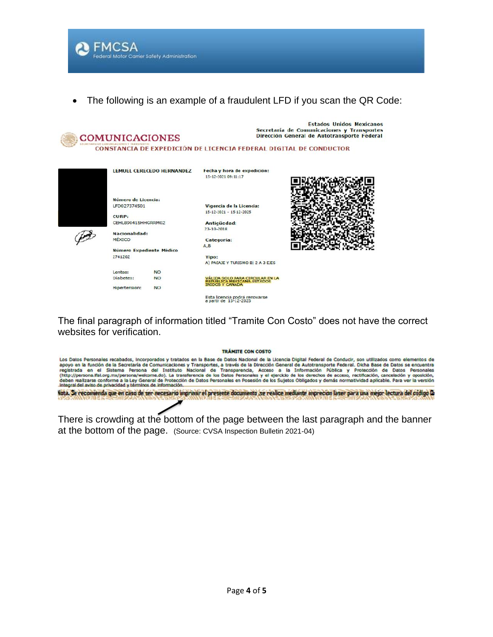**A** FMCSA Federal Motor Camer Safety Administration

• The following is an example of a fraudulent LFD if you scan the QR Code:



Esta licencia podrá renovarse<br>a partir de 15-12-2025

The final paragraph of information titled "Tramite Con Costo" does not have the correct websites for verification.

#### TRÁMITE CON COSTO



There is crowding at the bottom of the page between the last paragraph and the banner at the bottom of the page. (Source: CVSA Inspection Bulletin 2021-04)